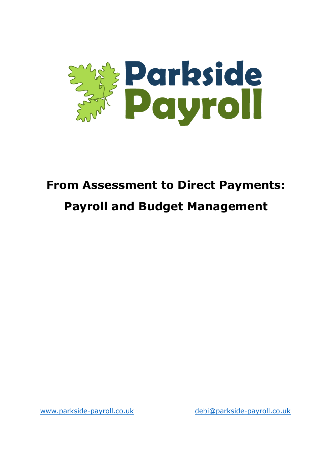

# **From Assessment to Direct Payments:**

# **Payroll and Budget Management**

[www.parkside-payroll.co.uk](http://www.parkside-payroll.co.uk/) [debi@parkside-payroll.co.uk](mailto:debi@parkside-payroll.co.uk)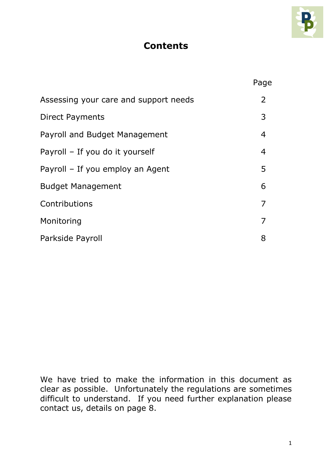

# **Contents**

|                                       | Page         |
|---------------------------------------|--------------|
| Assessing your care and support needs | $\mathbf{2}$ |
| <b>Direct Payments</b>                | 3            |
| Payroll and Budget Management         | 4            |
| Payroll - If you do it yourself       | 4            |
| Payroll - If you employ an Agent      | 5            |
| <b>Budget Management</b>              | 6            |
| Contributions                         | 7            |
| Monitoring                            | 7            |
| Parkside Payroll                      | 8            |

We have tried to make the information in this document as clear as possible. Unfortunately the regulations are sometimes difficult to understand. If you need further explanation please contact us, details on page 8.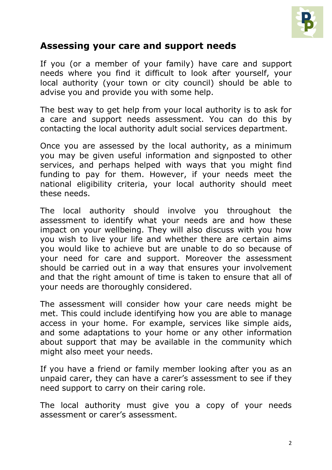

### **Assessing your care and support needs**

If you (or a member of your family) have care and support needs where you find it difficult to look after yourself, your local authority (your town or city council) should be able to advise you and provide you with some help.

The best way to get help from your local authority is to ask for a care and support needs assessment. You can do this by contacting the local authority adult social services department.

Once you are assessed by the local authority, as a minimum you may be given useful information and signposted to other services, and perhaps helped with ways that you might find funding to pay for them. However, if your needs meet the [national eligibility criteria,](http://www.nhs.uk/Conditions/social-care-and-support-guide/Pages/assessment-care-needs.aspx#eligibility) your local authority should meet these needs.

The local authority should involve you throughout the assessment to identify what your needs are and how these impact on your wellbeing. They will also discuss with you how you wish to live your life and whether there are certain aims you would like to achieve but are unable to do so because of your need for care and support. Moreover the assessment should be carried out in a way that ensures your involvement and that the right amount of time is taken to ensure that all of your needs are thoroughly considered.

The assessment will consider how your care needs might be met. This could include identifying how you are able to manage access in your home. For example, services like simple aids, and some adaptations to your home or any other information about support that may be available in the community which might also meet your needs.

If you have a friend or family member looking after you as an unpaid carer, they can have a [carer's assessment](http://www.nhs.uk/Conditions/social-care-and-support-guide/Pages/carers-assessment.aspx) to see if they need support to carry on their caring role.

The local authority must give you a copy of your needs assessment or carer's assessment.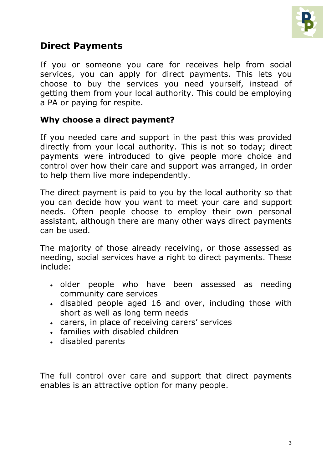

# **Direct Payments**

If you or someone you care for receives help from social services, you can apply for direct payments. This lets you choose to buy the services you need yourself, instead of getting them from your local authority. This could be employing a PA or paying for respite.

#### **Why choose a direct payment?**

If you needed care and support in the past this was provided directly from your local authority. This is not so today; direct payments were introduced to give people more choice and control over how their care and support was arranged, in order to help them live more independently.

The direct payment is paid to you by the local authority so that you can decide how you want to meet your care and support needs. Often people choose to employ their own personal assistant, although there are many other ways direct payments can be used.

The majority of those already receiving, or those assessed as needing, social services have a right to direct payments. These include:

- older people who have been assessed as needing community care services
- disabled people aged 16 and over, including those with short as well as long term needs
- carers, in place of receiving carers' services
- families with disabled children
- disabled parents

The full control over care and support that direct payments enables is an attractive option for many people.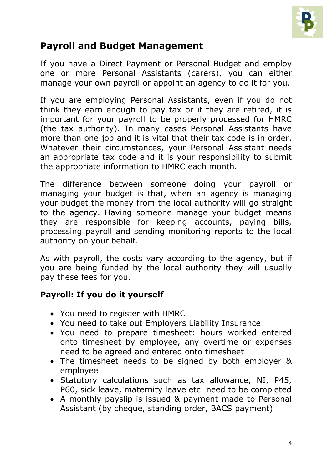

# **Payroll and Budget Management**

If you have a Direct Payment or Personal Budget and employ one or more Personal Assistants (carers), you can either manage your own payroll or appoint an agency to do it for you.

If you are employing Personal Assistants, even if you do not think they earn enough to pay tax or if they are retired, it is important for your payroll to be properly processed for HMRC (the tax authority). In many cases Personal Assistants have more than one job and it is vital that their tax code is in order. Whatever their circumstances, your Personal Assistant needs an appropriate tax code and it is your responsibility to submit the appropriate information to HMRC each month.

The difference between someone doing your payroll or managing your budget is that, when an agency is managing your budget the money from the local authority will go straight to the agency. Having someone manage your budget means they are responsible for keeping accounts, paying bills, processing payroll and sending monitoring reports to the local authority on your behalf.

As with payroll, the costs vary according to the agency, but if you are being funded by the local authority they will usually pay these fees for you.

#### **Payroll: If you do it yourself**

- You need to register with HMRC
- You need to take out Employers Liability Insurance
- You need to prepare timesheet: hours worked entered onto timesheet by employee, any overtime or expenses need to be agreed and entered onto timesheet
- The timesheet needs to be signed by both employer & employee
- Statutory calculations such as tax allowance, NI, P45, P60, sick leave, maternity leave etc. need to be completed
- A monthly payslip is issued & payment made to Personal Assistant (by cheque, standing order, BACS payment)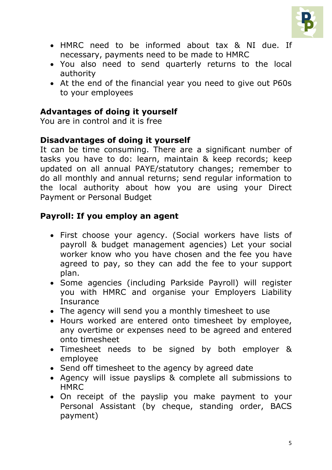

- HMRC need to be informed about tax & NI due. If necessary, payments need to be made to HMRC
- You also need to send quarterly returns to the local authority
- At the end of the financial year you need to give out P60s to your employees

#### **Advantages of doing it yourself**

You are in control and it is free

#### **Disadvantages of doing it yourself**

It can be time consuming. There are a significant number of tasks you have to do: learn, maintain & keep records; keep updated on all annual PAYE/statutory changes; remember to do all monthly and annual returns; send regular information to the local authority about how you are using your Direct Payment or Personal Budget

#### **Payroll: If you employ an agent**

- First choose your agency. (Social workers have lists of payroll & budget management agencies) Let your social worker know who you have chosen and the fee you have agreed to pay, so they can add the fee to your support plan.
- Some agencies (including Parkside Payroll) will register you with HMRC and organise your Employers Liability **Insurance**
- The agency will send you a monthly timesheet to use
- Hours worked are entered onto timesheet by employee, any overtime or expenses need to be agreed and entered onto timesheet
- Timesheet needs to be signed by both employer & employee
- Send off timesheet to the agency by agreed date
- Agency will issue payslips & complete all submissions to **HMRC**
- On receipt of the payslip you make payment to your Personal Assistant (by cheque, standing order, BACS payment)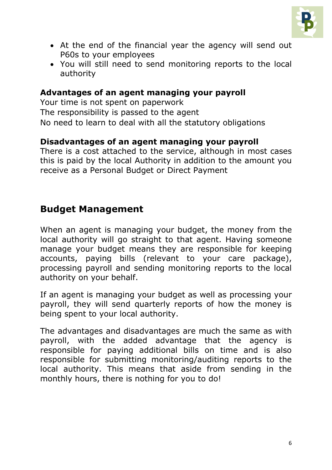

- At the end of the financial year the agency will send out P60s to your employees
- You will still need to send monitoring reports to the local authority

#### **Advantages of an agent managing your payroll**

Your time is not spent on paperwork The responsibility is passed to the agent No need to learn to deal with all the statutory obligations

#### **Disadvantages of an agent managing your payroll**

There is a cost attached to the service, although in most cases this is paid by the local Authority in addition to the amount you receive as a Personal Budget or Direct Payment

## **Budget Management**

When an agent is managing your budget, the money from the local authority will go straight to that agent. Having someone manage your budget means they are responsible for keeping accounts, paying bills (relevant to your care package), processing payroll and sending monitoring reports to the local authority on your behalf.

If an agent is managing your budget as well as processing your payroll, they will send quarterly reports of how the money is being spent to your local authority.

The advantages and disadvantages are much the same as with payroll, with the added advantage that the agency is responsible for paying additional bills on time and is also responsible for submitting monitoring/auditing reports to the local authority. This means that aside from sending in the monthly hours, there is nothing for you to do!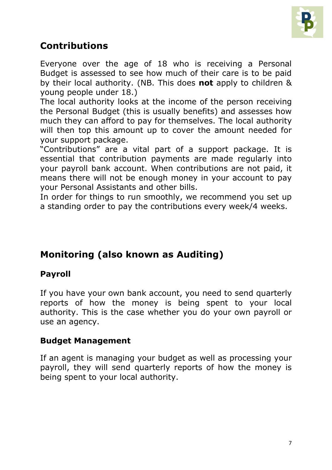

# **Contributions**

Everyone over the age of 18 who is receiving a Personal Budget is assessed to see how much of their care is to be paid by their local authority. (NB. This does **not** apply to children & young people under 18.)

The local authority looks at the income of the person receiving the Personal Budget (this is usually benefits) and assesses how much they can afford to pay for themselves. The local authority will then top this amount up to cover the amount needed for your support package.

"Contributions" are a vital part of a support package. It is essential that contribution payments are made regularly into your payroll bank account. When contributions are not paid, it means there will not be enough money in your account to pay your Personal Assistants and other bills.

In order for things to run smoothly, we recommend you set up a standing order to pay the contributions every week/4 weeks.

# **Monitoring (also known as Auditing)**

#### **Payroll**

If you have your own bank account, you need to send quarterly reports of how the money is being spent to your local authority. This is the case whether you do your own payroll or use an agency.

#### **Budget Management**

If an agent is managing your budget as well as processing your payroll, they will send quarterly reports of how the money is being spent to your local authority.